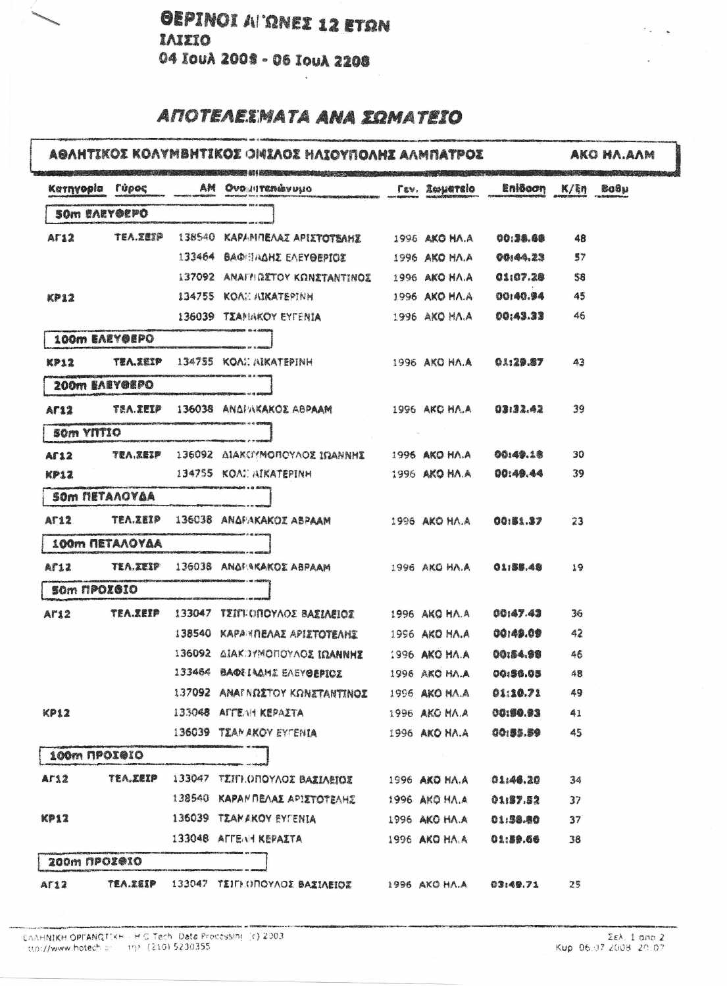## **ANOTEAEIMATA ANA SOMATEIO**

## ASAHTIKOI KOAYMBHTIKOI OMIAOI HAIOYNOANI AAMNATPOI AKO HA.AAM Karnyopia rúpoc AM Ovoniranávuno **Eniôcon** Bo9u *Tev.* Zwyatelo  $K/\xi n$ SOM EAEY@EPO **TEA.ZEIP** 138540 KAPANDEAAZ APIXTOTBAHS  $AT12$ 1996 AKO HA.A. 00:38.68 48 133464 BAQHINAHZ EAEYOEPIOX 1996 AKO HA.A 00:44.23  $57$ 1996 AKO HA.A 01:07.28 137092 ANAIH GETOY KONETANTINOE 58 KP12 134755 KOAI: AIKATEPINH 1996 AKO HA.A 00140.94 45 136039 TZAHINKOY EYFENIA 1996 AKO HA.A 00:43.33 46 100m EAEY@EPO  $KP12$ **TEA.ZEIP** 134755 KOAI AIKATEPINH 1996 AKO HA.A  $01:29.87$  $43$ 200m EAEYGEPO **TEA.XEIP** 136038 ANAPAKAKOE ABPAAM  $03132.42$ 39 **AF12** 1996 AKO HA.A **SOM YNTIO TEA.XEIP** 136092 AIAKCPMONOYAOS IOANNHE 1996 AKO HA.A 00:49.18 30 **AF12 KP12** 134755 KOAI AIKATEPINH 1996 AKO HA.A 00:49.44 39 **SOM METAAOYAA**  $AT12$ **TEA.ZEIP** 136038 ANAFAKAKOZ ABPAAM 1996 AKO HA.A 00:81.37 23 100m METAAOYAA **TEA.ZEIP** 136038 ANAPAKAKOE ABPAAM AF12 **01:55.45** 1996 AKO HA.A 19 som npozazo **TEA.ZEIP** 133047 TEITHOROYAOE BAEIAEIOZ 00:47.43 1996 AKO HA.A  $36$  $AT12$ 138540 ΚΑΡΑΝΠΕΛΑΣ ΑΡΙΣΤΟΤΕΛΗΣ 00:49.09 42 1996 AKO HA.A 136092 AIAKDYMONOYAOE IDANNHE 1996 AKO HA.A 00:54.98 46 133464 BAORIAAME EAEYOEPICE 1996 АКО НЛ.А 00:36.05 48 137092 ANAINDITOY KONITANTINOI 1996 AKO MA.A 01:10.71 49 133048 AFFENH KEPAITA KP12 1996 AKO MA.A 00:50.93 41 136039 TEAMAKOY EYTENIA 1996 AKO HA.A 00:55.59 45 100m NPOI@IO  $AT12$ **TEA.ZEIP** 133047 TEITHOΠΟΥΛΟΣ ΒΑΣΙΛΕΙΟΣ 1996 AKO HA.A 01:46.20 34 138540 ΚΑΡΑΜΠΕΛΑΣ ΑΡΙΣΤΟΤΕΛΗΣ 1996 AKO HA.A 01:87.82  $37$ KP12 136039 TEAMAKOY EYFENIA 1996 AKO HA.A  $01,98.80$  $37$ 133048 AFFENI KEPAITA 1996 AKO HA.A 01:59.66 38 200m NPOZ®IO TEA.XEIP 133047 TEIFHOROYAOE BAZIAEIOZ 1996 AKO HA.A  $AT12$  $03:49.71$ 25